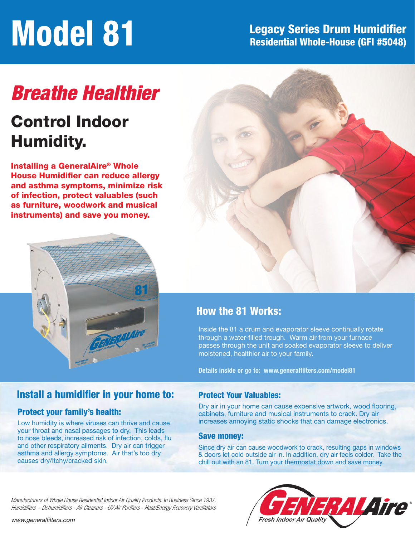# **Model 81** Legacy Series Drum Humidifier<br>Residential Whole-House (GFI #5048) Residential Whole-House (GFI #5048)

# *Breathe Healthier*

# Control Indoor Humidity.

Installing a GeneralAire® Whole House Humidifier can reduce allergy and asthma symptoms, minimize risk of infection, protect valuables (such as furniture, woodwork and musical instruments) and save you money.





### How the 81 Works:

Inside the 81 a drum and evaporator sleeve continually rotate through a water-filled trough. Warm air from your furnace passes through the unit and soaked evaporator sleeve to deliver moistened, healthier air to your family.

Details inside or go to: www.generalfilters.com/model81

### Install a humidifier in your home to:

#### Protect your family's health:

Low humidity is where viruses can thrive and cause your throat and nasal passages to dry. This leads to nose bleeds, increased risk of infection, colds, flu and other respiratory ailments. Dry air can trigger asthma and allergy symptoms. Air that's too dry causes dry/itchy/cracked skin.

#### Protect Your Valuables:

Dry air in your home can cause expensive artwork, wood flooring, cabinets, furniture and musical instruments to crack. Dry air increases annoying static shocks that can damage electronics.

#### Save money:

Since dry air can cause woodwork to crack, resulting gaps in windows & doors let cold outside air in. In addition, dry air feels colder. Take the chill out with an 81. Turn your thermostat down and save money.

Manufacturers of Whole House Residential Indoor Air Quality Products. In Business Since 1937. *Humidifiers - Dehumidifiers - Air Cleaners - UV Air Purifiers - Heat/Energy Recovery Ventilators*

www.generalfilters.com

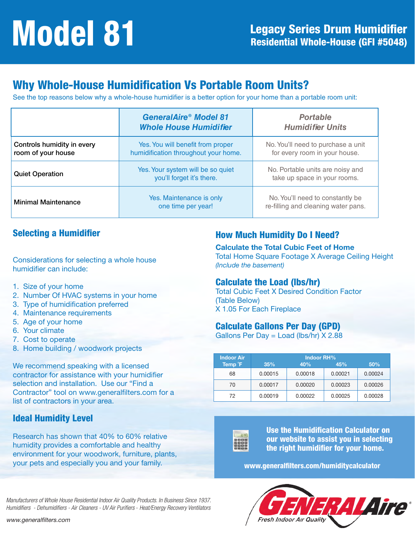# Why Whole-House Humidification Vs Portable Room Units?

See the top reasons below why a whole-house humidifier is a better option for your home than a portable room unit:

|                                                  | <b>GeneralAire® Model 81</b><br><b>Whole House Humidifier</b>             | <b>Portable</b><br><b>Humidifier Units</b>                              |
|--------------------------------------------------|---------------------------------------------------------------------------|-------------------------------------------------------------------------|
| Controls humidity in every<br>room of your house | Yes. You will benefit from proper<br>humidification throughout your home. | No. You'll need to purchase a unit<br>for every room in your house.     |
| <b>Quiet Operation</b>                           | Yes. Your system will be so quiet<br>you'll forget it's there.            | No. Portable units are noisy and<br>take up space in your rooms.        |
| <b>Minimal Maintenance</b>                       | Yes. Maintenance is only<br>one time per year!                            | No. You'll need to constantly be<br>re-filling and cleaning water pans. |

### Selecting a Humidifier

Considerations for selecting a whole house humidifier can include:

- 1. Size of your home
- 2. Number Of HVAC systems in your home
- 3. Type of humidification preferred
- 4. Maintenance requirements
- 5. Age of your home
- 6. Your climate
- 7. Cost to operate
- 8. Home building / woodwork projects

We recommend speaking with a licensed contractor for assistance with your humidifier selection and installation. Use our "Find a Contractor" tool on www.generalfilters.com for a list of contractors in your area.

#### Ideal Humidity Level

Research has shown that 40% to 60% relative humidity provides a comfortable and healthy environment for your woodwork, furniture, plants, your pets and especially you and your family.

### How Much Humidity Do I Need?

Calculate the Total Cubic Feet of Home Total Home Square Footage X Average Ceiling Height *(Include the basement)*

#### Calculate the Load (lbs/hr)

Total Cubic Feet X Desired Condition Factor (Table Below) X 1.05 For Each Fireplace

#### Calculate Gallons Per Day (GPD)

Gallons Per Day = Load (lbs/hr) X 2.88

| <b>Indoor Air</b> | <b>Indoor RH%</b> |         |         |         |  |
|-------------------|-------------------|---------|---------|---------|--|
| Temp F            | 35%               | 40%     | 45%     | 50%     |  |
| 68                | 0.00015           | 0.00018 | 0.00021 | 0.00024 |  |
| 70                | 0.00017           | 0.00020 | 0.00023 | 0.00026 |  |
| 72                | 0.00019           | 0.00022 | 0.00025 | 0.00028 |  |



Use the Humidification Calculator on our website to assist you in selecting the right humidifier for your home.

www.generalfilters.com/humiditycalculator



Manufacturers of Whole House Residential Indoor Air Quality Products. In Business Since 1937. Humidifiers - Dehumidifiers - Air Cleaners - UV Air Purifiers - Heat/Energy Recovery Ventilators

www.generalfilters.com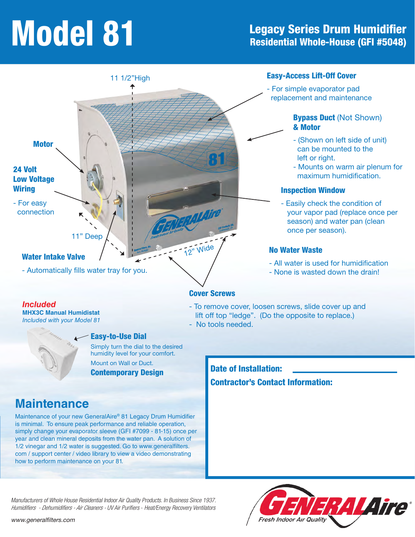# **Model 81** Legacy Series Drum Humidifier<br>Residential Whole-House (GFI #5048) Residential Whole-House (GFI #5048)



*Included* **MHX3C Manual Humidistat** *Included with your Model 81*

#### Easy-to-Use Dial

Simply turn the dial to the desired humidity level for your comfort.

Mount on Wall or Duct. Contemporary Design

- To remove cover, loosen screws, slide cover up and lift off top "ledge". (Do the opposite to replace.)
- No tools needed.

Date of Installation: Contractor's Contact Information:

## **Maintenance**

Maintenance of your new GeneralAire® 81 Legacy Drum Humidifier is minimal. To ensure peak performance and reliable operation, simply change your evaporator sleeve (GFI #7099 - 81-15) once per year and clean mineral deposits from the water pan. A solution of 1/2 vinegar and 1/2 water is suggested. Go to www.generalfilters. com / support center / video library to view a video demonstrating how to perform maintenance on your 81.



Manufacturers of Whole House Residential Indoor Air Quality Products. In Business Since 1937. *Humidifiers - Dehumidifiers - Air Cleaners -* UV Air Purifiers - Heat/Energy Recovery Ventilators

www.generalfilters.com